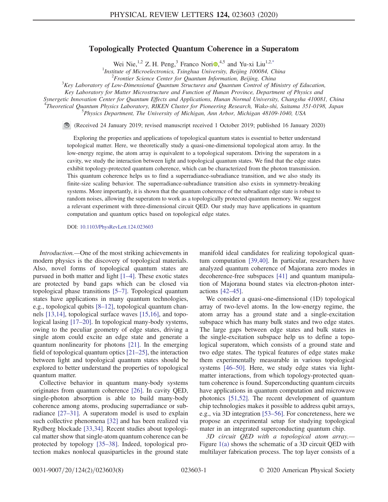## Topologically Protected Quantum Coherence in a Superatom

Wei Nie,  $^{1,2}$  Z. H. Peng, <sup>3</sup> Franco Nori<sup>0</sup>, <sup>4,5</sup> and Yu-xi Liu<sup>1,2[,\\*](#page-4-0)</sup>

<sup>1</sup>Institute of Microelectronics, Tsinghua University, Beijing 100084, China<br><sup>2</sup> Frontier Science Center for Quantum Information, Beijing, China

 $n^2$ Frontier Science Center for Quantum Information, Beijing, China

<span id="page-0-0"></span> $K<sup>3</sup>$ Key Laboratory of Low-Dimensional Quantum Structures and Quantum Control of Ministry of Education,

Key Laboratory for Matter Microstructure and Function of Hunan Province, Department of Physics and

Synergetic Innovation Center for Quantum Effects and Applications, Hunan Normal University, Changsha 410081, China

<sup>4</sup>Theoretical Quantum Physics Laboratory, RIKEN Cluster for Pioneering Research, Wako-shi, Saitama 351-0198, Japan<br>5 Dhysics Doverturent The University of Michigan Ann Arbor, Michigan 48100, 1040, USA Physics Department, The University of Michigan, Ann Arbor, Michigan 48109-1040, USA

(Received 24 January 2019; revised manuscript received 1 October 2019; published 16 January 2020)

Exploring the properties and applications of topological quantum states is essential to better understand topological matter. Here, we theoretically study a quasi-one-dimensional topological atom array. In the low-energy regime, the atom array is equivalent to a topological superatom. Driving the superatom in a cavity, we study the interaction between light and topological quantum states. We find that the edge states exhibit topology-protected quantum coherence, which can be characterized from the photon transmission. This quantum coherence helps us to find a superradiance-subradiance transition, and we also study its finite-size scaling behavior. The superradiance-subradiance transition also exists in symmetry-breaking systems. More importantly, it is shown that the quantum coherence of the subradiant edge state is robust to random noises, allowing the superatom to work as a topologically protected quantum memory. We suggest a relevant experiment with three-dimensional circuit QED. Our study may have applications in quantum computation and quantum optics based on topological edge states.

DOI: [10.1103/PhysRevLett.124.023603](https://doi.org/10.1103/PhysRevLett.124.023603)

Introduction.—One of the most striking achievements in modern physics is the discovery of topological materials. Also, novel forms of topological quantum states are pursued in both matter and light [\[1](#page-4-1)–4]. These exotic states are protected by band gaps which can be closed via topological phase transitions [\[5](#page-4-2)–7]. Topological quantum states have applications in many quantum technologies, e.g., topological qubits [8–[12\],](#page-4-3) topological quantum channels [\[13,14\]](#page-4-4), topological surface waves [\[15,16\],](#page-4-5) and topo-logical lasing [\[17](#page-4-6)–20]. In topological many-body systems, owing to the peculiar geometry of edge states, driving a single atom could excite an edge state and generate a quantum nonlinearity for photons [\[21\].](#page-5-0) In the emerging field of topological quantum optics [21–[25\],](#page-5-0) the interaction between light and topological quantum states should be explored to better understand the properties of topological quantum matter.

Collective behavior in quantum many-body systems originates from quantum coherence [\[26\].](#page-5-1) In cavity QED, single-photon absorption is able to build many-body coherence among atoms, producing superradiance or subradiance [\[27](#page-5-2)–31]. A superatom model is used to explain such collective phenomena [\[32\]](#page-5-3) and has been realized via Rydberg blockade [\[33,34\]](#page-5-4). Recent studies about topological matter show that single-atom quantum coherence can be protected by topology [\[35](#page-5-5)–38]. Indeed, topological protection makes nonlocal quasiparticles in the ground state manifold ideal candidates for realizing topological quantum computation [\[39,40\].](#page-5-6) In particular, researchers have analyzed quantum coherence of Majorana zero modes in decoherence-free subspaces [\[41\]](#page-5-7) and quantum manipulation of Majorana bound states via electron-photon interactions [\[42](#page-5-8)–45].

We consider a quasi-one-dimensional (1D) topological array of two-level atoms. In the low-energy regime, the atom array has a ground state and a single-excitation subspace which has many bulk states and two edge states. The large gaps between edge states and bulk states in the single-excitation subspace help us to define a topological superatom, which consists of a ground state and two edge states. The typical features of edge states make them experimentally measurable in various topological systems [\[46](#page-5-9)–50]. Here, we study edge states via lightmatter interactions, from which topology-protected quantum coherence is found. Superconducting quantum circuits have applications in quantum computation and microwave photonics [\[51,52\]](#page-5-10). The recent development of quantum chip technologies makes it possible to address qubit arrays, e.g., via 3D integration [53–[56\].](#page-6-0) For concreteness, here we propose an experimental setup for studying topological mater in an integrated superconducting quantum chip.

3D circuit QED with a topological atom array.— Figure [1\(a\)](#page-1-0) shows the schematic of a 3D circuit QED with multilayer fabrication process. The top layer consists of a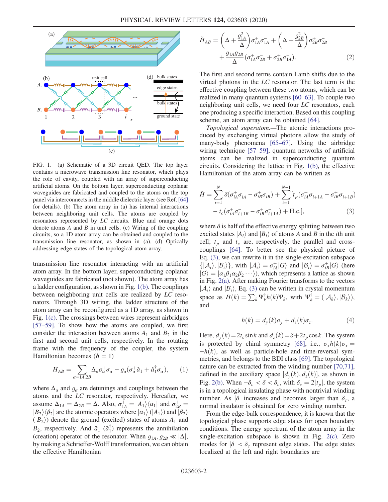<span id="page-1-0"></span>

FIG. 1. (a) Schematic of a 3D circuit QED. The top layer contains a microwave transmission line resonator, which plays the role of cavity, coupled with an array of superconducting artificial atoms. On the bottom layer, superconducting coplanar waveguides are fabricated and coupled to the atoms on the top panel via interconnects in the middle dielectric layer (see Ref. [\[64\]](#page-6-3) for details). (b) The atom array in (a) has internal interactions between neighboring unit cells. The atoms are coupled by resonators represented by LC circuits. Blue and orange dots denote atoms  $A$  and  $B$  in unit cells. (c) Wiring of the coupling circuits, so a 1D atom array can be obtained and coupled to the transmission line resonator, as shown in (a). (d) Optically addressing edge states of the topological atom array.

transmission line resonator interacting with an artificial atom array. In the bottom layer, superconducting coplanar waveguides are fabricated (not shown). The atom array has a ladder configuration, as shown in Fig. [1\(b\)](#page-1-0). The couplings between neighboring unit cells are realized by LC resonators. Through 3D wiring, the ladder structure of the atom array can be reconfigured as a 1D array, as shown in Fig. [1\(c\).](#page-1-0) The crossings between wires represent airbridges [\[57](#page-6-1)–59]. To show how the atoms are coupled, we first consider the interaction between atoms  $A_1$  and  $B_2$  in the first and second unit cells, respectively. In the rotating frame with the frequency of the coupler, the system Hamiltonian becomes  $(h = 1)$ 

$$
H_{AB} = \sum_{\alpha=1A,2B} \Delta_{\alpha} \sigma_{\alpha}^+ \sigma_{\alpha}^- - g_{\alpha} (\sigma_{\alpha}^+ \hat{a}_1 + \hat{a}_1^{\dagger} \sigma_{\alpha}^-), \qquad (1)
$$

where  $\Delta_{\alpha}$  and  $g_{\alpha}$  are detunings and couplings between the atoms and the LC resonator, respectively. Hereafter, we assume  $\Delta_{1A} = \Delta_{2B} = \Delta$ . Also,  $\sigma_{1A}^{+} = |A_1\rangle\langle\alpha_1|$  and  $\sigma_{2A}^{+}$ <br> $|R_2\rangle\langle\beta_1|$  are the atomic operators where  $|\alpha_2\rangle\langle\langle A_1 \rangle\rangle$  and assume  $\Delta_{1A} = \Delta_{2B} = \Delta$ . Also,  $\sigma_{1A} = |\sigma_1\rangle \langle \mu_1|$  and  $\sigma_{2B} = |B_2\rangle \langle \beta_2|$  are the atomic operators where  $|\alpha_1\rangle$  ( $|A_1\rangle$ ) and  $|\beta_2\rangle$ <br>( $|B_2\rangle$ ) denote the ground (excited) states of atoms A, and  $(|B_2\rangle)$  denote the ground (excited) states of atoms  $A_1$  and  $B_2$ , respectively. And  $\hat{a}_1$  ( $\hat{a}_1^{\dagger}$ ) represents the annihilation (creation) operator of the resonator. When  $g_{1A}$ ,  $g_{2B} \ll |\Delta|$ , by making a Schrieffer-Wolff transformation, we can obtain the effective Hamiltonian

$$
\tilde{H}_{AB} = \left(\Delta + \frac{g_{1A}^2}{\Delta}\right)\sigma_{1A}^+ \sigma_{1A}^- + \left(\Delta + \frac{g_{2B}^2}{\Delta}\right)\sigma_{2B}^+ \sigma_{2B}^- + \frac{g_{1A}g_{2B}}{\Delta} \left(\sigma_{1A}^+ \sigma_{2B}^- + \sigma_{2B}^+ \sigma_{1A}^-\right).
$$
\n(2)

The first and second terms contain Lamb shifts due to the virtual photons in the LC resonator. The last term is the effective coupling between these two atoms, which can be realized in many quantum systems [60–[63\].](#page-6-2) To couple two neighboring unit cells, we need four LC resonators, each one producing a specific interaction. Based on this coupling scheme, an atom array can be obtained [\[64\]](#page-6-3).

Topological superatom.—The atomic interactions produced by exchanging virtual photons allow the study of many-body phenomena [\[65](#page-6-4)–67]. Using the airbridge wiring technique [\[57](#page-6-1)–59], quantum networks of artificial atoms can be realized in superconducting quantum circuits. Considering the lattice in Fig. [1\(b\),](#page-1-0) the effective Hamiltonian of the atom array can be written as

<span id="page-1-1"></span>
$$
\tilde{H} = \sum_{i=1}^{N} \delta(\sigma_{iA}^{+} \sigma_{iA}^{-} - \sigma_{iB}^{+} \sigma_{iB}^{-}) + \sum_{i=1}^{N-1} [t_p(\sigma_{iA}^{+} \sigma_{iA}^{-} - \sigma_{iB}^{+} \sigma_{iA}^{-}) - t_c(\sigma_{iA}^{+} \sigma_{iB}^{-} - \sigma_{iB}^{+} \sigma_{iA}^{-}) + \text{H.c.}],
$$
\n(3)

where  $\delta$  is half of the effective energy splitting between two excited states  $|A_i\rangle$  and  $|B_i\rangle$  of atoms A and B in the *i*th unit cell;  $t_p$  and  $t_c$  are, respectively, the parallel and crosscouplings [\[64\]](#page-6-3). To better see the physical picture of Eq. [\(3\)](#page-1-1), we can rewrite it in the single-excitation subspace  $\{|\mathcal{A}_i\rangle, |\mathcal{B}_i\rangle\}$ , with  $|\mathcal{A}_i\rangle = \sigma_{ik}^+|G\rangle$  and  $|\mathcal{B}_i\rangle = \sigma_{ib}^+|G\rangle$  (here  $|G\rangle = |\alpha, \beta, \alpha, \beta, \ldots\rangle$ ) which represents a lattice as shown  $|G\rangle = |\alpha_1 \beta_1 \alpha_2 \beta_2 \cdots \rangle$ , which represents a lattice as shown in Fig. [2\(a\)](#page-2-0). After making Fourier transforms to the vectors  $|\mathcal{A}_i\rangle$  and  $|\mathcal{B}_i\rangle$ , Eq. [\(3\)](#page-1-1) can be written in crystal momentum space as  $\bar{H}(k) = \sum_{k} \Psi_{k}^{\dagger} h(k) \Psi_{k}$ , with  $\Psi_{k}^{\dagger} = (|\mathcal{A}_{k}\rangle, |\mathcal{B}_{k}\rangle),$ and

$$
h(k) = d_y(k)\sigma_y + d_z(k)\sigma_z.
$$
 (4)

Here,  $d_v(k) = 2t_c \sin k$  and  $d_z(k) = \delta + 2t_p \cos k$ . The system is protected by chiral symmetry [\[68\],](#page-6-5) i.e.,  $\sigma_r h(k)\sigma_r =$  $-h(k)$ , as well as particle-hole and time-reversal symmetries, and belongs to the BDI class [\[69\]](#page-6-6). The topological nature can be extracted from the winding number [\[70,71\]](#page-6-7), defined in the auxiliary space  $[d_y(k), d_z(k)]$ , as shown in<br>Fig. 2(b), When  $-\delta < \delta < \delta$ , with  $\delta = 2|x|$ , the system Fig. [2\(b\)](#page-2-0). When  $-\delta_c < \delta < \delta_c$ , with  $\delta_c = 2|t_p|$ , the system is in a topological insulating phase with nontrivial winding number. As  $|\delta|$  increases and becomes larger than  $\delta_c$ , a normal insulator is obtained for zero winding number.

From the edge-bulk correspondence, it is known that the topological phase supports edge states for open boundary conditions. The energy spectrum of the atom array in the single-excitation subspace is shown in Fig. [2\(c\).](#page-2-0) Zero modes for  $|\delta| < \delta_c$  represent edge states. The edge states localized at the left and right boundaries are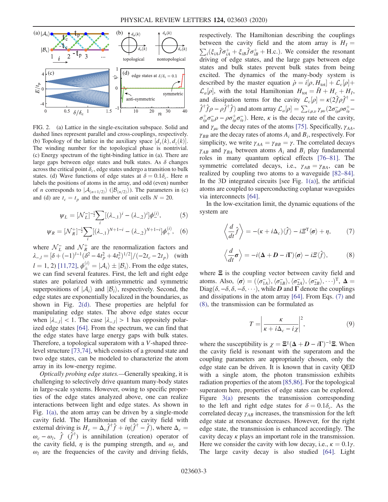<span id="page-2-0"></span>

FIG. 2. (a) Lattice in the single-excitation subspace. Solid and dashed lines represent parallel and cross-couplings, respectively. (b) Topology of the lattice in the auxiliary space  $[d_y(k), d_z(k)]$ .<br>The winding number for the topological phase is nontrivial The winding number for the topological phase is nontrivial. (c) Energy spectrum of the tight-binding lattice in (a). There are large gaps between edge states and bulk states. As  $\delta$  changes across the critical point  $\delta_c$ , edge states undergo a transition to bulk states. (d) Wave functions of edge states at  $\delta = 0.1 \delta_c$ . Here n labels the positions of atoms in the array, and odd (even) number of *n* corresponds to  $|A_{(n+1/2)}\rangle$  ( $|B_{(n/2)}\rangle$ ). The parameters in (c) and (d) are  $t_c = t_p$  and the number of unit cells  $N = 20$ .

$$
\psi_L = [\mathcal{N}_L^-]^{-\frac{1}{2}} \sum_i [(\lambda_{-,1})^i - (\lambda_{-,2})^i] \phi^{(i)}_-, \tag{5}
$$

$$
\psi_R = [\mathcal{N}_R^+]^{-\frac{1}{2}} \sum_i [(\lambda_{-,1})^{N+1-i} - (\lambda_{-,2})^{N+1-i}] \phi_+^{(i)}, \quad (6)
$$

where  $\mathcal{N}_L^-$  and  $\mathcal{N}_R^+$  are the renormalization factors and  $\lambda_{-,l} = [\delta + (-1)^{l-1} (\delta^2 - 4t_p^2 + 4t_c^2)^{1/2}] / (-2t_c - 2t_p)$  (with  $l = 1, 2$ ) [\[11,72\],](#page-4-7)  $\phi_{\pm}^{(i)} = |\mathcal{A}_i\rangle \pm |\mathcal{B}_i\rangle$ . From the edge states, we can find several features. First, the left and right edge states are polarized with antisymmetric and symmetric superpositions of  $|A_i\rangle$  and  $|B_i\rangle$ , respectively. Second, the edge states are exponentially localized in the boundaries, as shown in Fig. [2\(d\).](#page-2-0) These properties are helpful for manipulating edge states. The above edge states occur when  $|\lambda_{-i}| < 1$ . The case  $|\lambda_{-i}| > 1$  has oppositely polarized edge states [\[64\]](#page-6-3). From the spectrum, we can find that the edge states have large energy gaps with bulk states. Therefore, a topological superatom with a V-shaped threelevel structure [\[73,74\],](#page-6-8) which consists of a ground state and two edge states, can be modeled to characterize the atom array in its low-energy regime.

Optically probing edge states.—Generally speaking, it is challenging to selectively drive quantum many-body states in large-scale systems. However, owing to specific properties of the edge states analyzed above, one can realize interactions between light and edge states. As shown in Fig. [1\(a\),](#page-1-0) the atom array can be driven by a single-mode cavity field. The Hamiltonian of the cavity field with external driving is  $H_c = \Delta_c \hat{f}^\dagger \hat{f} + i\eta(\hat{f}^\dagger - \hat{f})$ , where  $\Delta_c =$  $\omega_c - \omega_l$ ,  $\hat{f}(\hat{f}^\dagger)$  is annihilation (creation) operator of the cavity field,  $\eta$  is the pumping strength, and  $\omega_c$  and  $\omega_l$  are the frequencies of the cavity and driving fields,

respectively. The Hamiltonian describing the couplings between the cavity field and the atom array is  $H_I = \sum_i (\xi_{iA} \hat{f} \sigma_{iA}^+ + \xi_{iB} \hat{f} \sigma_{iB}^+ + \text{H.c.})$ . We consider the resonant driving of edge states, and the large gans between edge driving of edge states, and the large gaps between edge states and bulk states prevent bulk states from being excited. The dynamics of the many-body system is described by the master equation  $\dot{\rho} = i[\rho, H_{tot}] + \mathcal{L}_c[\rho]$ <br>  $\mathcal{L}$  [c] with the total Hamiltonian  $H = \tilde{H} + H + H$  $\mathcal{L}_a[\rho]$ , with the total Hamiltonian  $H_{\text{tot}} = \tilde{H} + H_c + H_I$ , and dissipation terms for the cavity  $\mathcal{L}_c[\rho] = \kappa (2\hat{f}\rho \hat{f}^{\dagger} - \hat{f}^{\dagger} \hat{f} \hat{f} \rho \hat{g}^{\dagger} \hat{f})$  and atom error  $\mathcal{L}_c[\rho] = \sum_{\alpha} \kappa (2\hat{f} - 2\hat{f} \hat{f})$  $\hat{f}^{\dagger} \hat{f} \rho - \rho \hat{f}^{\dagger} \hat{f}$  and atom array  $\mathcal{L}_a[\rho] = \sum_{i,\mu,\nu} \gamma_{\mu\nu} (2\sigma_{i\mu}^-\rho \sigma_{i\nu}^+)$  $\sigma_{i\mu}^{+}\sigma_{i\nu}^{-}\rho - \rho \sigma_{i\mu}^{+}\sigma_{i\nu}^{-}$ ). Here,  $\kappa$  is the decay rate of the cavity, and  $\gamma_{\mu\nu}$  the decay rates of the atoms [\[75\].](#page-6-9) Specifically,  $\gamma_{AA}$ ,  $\gamma_{BB}$  are the decay rates of atoms  $A_i$  and  $B_i$ , respectively. For simplicity, we write  $\gamma_{AA} = \gamma_{BB} = \gamma$ . The correlated decays  $\gamma_{AB}$  and  $\gamma_{BA}$  between atoms  $A_i$  and  $B_i$  play fundamental roles in many quantum optical effects [\[76](#page-6-10)–81]. The symmetric correlated decays, i.e.,  $\gamma_{AB} = \gamma_{BA}$ , can be realized by coupling two atoms to a waveguide [\[82](#page-6-11)–84]. In the 3D integrated circuits [see Fig.  $1(a)$ ], the artificial atoms are coupled to superconducting coplanar waveguides via interconnects [\[64\].](#page-6-3)

<span id="page-2-1"></span>In the low-excitation limit, the dynamic equations of the system are

$$
\left\langle \frac{d}{dt}\hat{f} \right\rangle = -(\kappa + i\Delta_c)\langle \hat{f} \rangle - i\Xi^{\mathrm{T}} \langle \sigma \rangle + \eta, \tag{7}
$$

<span id="page-2-2"></span>
$$
\left\langle \frac{d}{dt}\boldsymbol{\sigma} \right\rangle = -i(\boldsymbol{\Delta} + \boldsymbol{D} - i\boldsymbol{\Gamma}) \langle \boldsymbol{\sigma} \rangle - i\boldsymbol{\Xi} \langle \hat{f} \rangle, \tag{8}
$$

where  $\Xi$  is the coupling vector between cavity field and atoms. Also,  $\langle \sigma \rangle = (\langle \sigma_{IA}^-\rangle, \langle \sigma_{IB}^-\rangle, \langle \sigma_{2A}^-\rangle, \langle \sigma_{2B}^-\rangle, \cdots)^T$ ,  $\Delta =$ <br>Diag( $\delta = \delta, \delta = \delta, \cdots$ ) while *D* and *L* denote the couplings Diag $(\delta, -\delta, \delta, -\delta, \cdots)$ , while D and  $\Gamma$  denote the couplings and dissipations in the atom array [\[64\]](#page-6-3). From Eqs. [\(7\)](#page-2-1) and [\(8\)](#page-2-2), the transmission can be formulated as

$$
T = \left| \frac{\kappa}{\kappa + i\Delta_c - i\chi} \right|^2,\tag{9}
$$

where the susceptibility is  $\chi = \Xi^{\dagger}(\Delta + D - i\Gamma)^{-1}\Xi$ . When the cavity field is resonant with the superatom and the coupling parameters are appropriately chosen, only the edge state can be driven. It is known that in cavity QED with a single atom, the photon transmission exhibits radiation properties of the atom [\[85,86\].](#page-7-0) For the topological superatom here, properties of edge states can be explored. Figure [3\(a\)](#page-3-0) presents the transmission corresponding to the left and right edge states for  $\delta = 0.1\delta_c$ . As the correlated decay  $\gamma_{AB}$  increases, the transmission for the left edge state at resonance decreases. However, for the right edge state, the transmission is enhanced accordingly. The cavity decay  $\kappa$  plays an important role in the transmission. Here we consider the cavity with low decay, i.e.,  $\kappa = 0.1\gamma$ . The large cavity decay is also studied [\[64\]](#page-6-3). Light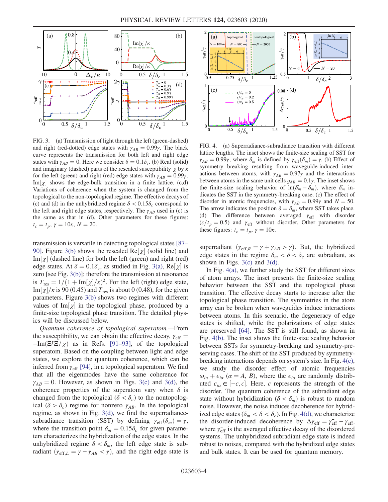<span id="page-3-0"></span>

FIG. 3. (a) Transmission of light through the left (green-dashed) and right (red-dotted) edge states with  $\gamma_{AB} = 0.99\gamma$ . The black curve represents the transmission for both left and right edge states with  $\gamma_{AB} = 0$ . Here we consider  $\delta = 0.1\delta_c$ . (b) Real (solid) and imaginary (dashed) parts of the rescaled susceptibility  $\chi$  by  $\kappa$ for the left (green) and right (red) edge states with  $\gamma_{AB} = 0.99\gamma$ .  $\text{Im}[\chi]$  shows the edge-bulk transition in a finite lattice. (c,d)<br>Variations of coherence when the system is changed from the Variations of coherence when the system is changed from the topological to the non-topological regime. The effective decays of (c) and (d) in the unhybridized regime  $\delta < 0.15\delta_c$  correspond to the left and right edge states, respectively. The  $\gamma_{AB}$  used in (c) is the same as that in (d). Other parameters for these figures:  $t_c = t_p, \gamma = 10\kappa, N = 20.$ 

transmission is versatile in detecting topological states [\[87](#page-7-1)– [90\].](#page-7-1) Figure [3\(b\)](#page-3-0) shows the rescaled  $Re[\chi]$  (solid line) and  $Im[\chi]$  (dashed line) for both the left (green) and right (red)  $\text{Im}[\chi]$  (dashed line) for both the left (green) and right (red)<br>edge states  $\Delta t \delta = 0.1\delta$  as studied in Fig. 3(a), Re[y] is edge states. At  $\delta = 0.1 \delta_c$ , as studied in Fig. [3\(a\),](#page-3-0) Re[ $\chi$ ] is zero [see Fig. 3(b)]; therefore the transmission at resonance zero [see Fig. [3\(b\)](#page-3-0)]; therefore the transmission at resonance is  $T_{\text{res}} = 1/(1 + \text{Im}[\chi]/\kappa)^2$ . For the left (right) edge state,<br>Im<sub> $[\chi]/\kappa$ </sub> is 90.00.45) and T is about 0.00.48) for the given Im[ $\chi$ ]/ $\kappa$  is 90 (0.45) and  $T_{\text{res}}$  is about 0 (0.48), for the given<br>parameters. Figure 3(b) shows two regimes with different parameters. Figure [3\(b\)](#page-3-0) shows two regimes with different values of  $\text{Im}[\chi]$  in the topological phase, produced by a finite-size topological phase transition. The detailed physfinite-size topological phase transition. The detailed physics will be discussed below.

Quantum coherence of topological superatom.—From the susceptibility, we can obtain the effective decay,  $\gamma_{\text{eff}} =$  $-\text{Im}(\Xi \overline{\Xi}/\chi)$  as in Refs. [\[91](#page-7-2)–93], of the topological superatom. Based on the coupling between light and edge states, we explore the quantum coherence, which can be inferred from  $\gamma_{\text{eff}}$  [\[94\]](#page-7-3), in a topological superatom. We find that all the eigenmodes have the same coherence for  $\gamma_{AB} = 0$ . However, as shown in Figs. [3\(c\)](#page-3-0) and [3\(d\)](#page-3-0), the coherence properties of the superatom vary when  $\delta$  is changed from the topological ( $\delta < \delta_c$ ) to the nontopological ( $\delta > \delta_c$ ) regime for nonzero  $\gamma_{AB}$ . In the topological regime, as shown in Fig. [3\(d\)](#page-3-0), we find the superradiancesubradiance transition (SST) by defining  $\gamma_{\text{eff}}(\delta_m) = \gamma$ , where the transition point  $\delta_m = 0.15\delta_c$  for given parameters characterizes the hybridization of the edge states. In the unhybridized regime  $\delta < \delta_m$ , the left edge state is subradiant  $(\gamma_{\text{eff},L} = \gamma - \gamma_{AB} < \gamma)$ , and the right edge state is

<span id="page-3-1"></span>

FIG. 4. (a) Superradiance-subradiance transition with different lattice lengths. The inset shows the finite-size scaling of SST for  $\gamma_{AB} = 0.99\gamma$ , where  $\delta_m$  is defined by  $\gamma_{\text{eff}}(\delta_m) = \gamma$ . (b) Effect of symmetry breaking resulting from waveguide-induced interactions between atoms, with  $\gamma_{AB} = 0.97\gamma$  and the interactions between atoms in the same unit cells  $g_{AB} = 0.1\gamma$ . The inset shows the finite-size scaling behavior of  $\ln(\delta'_m - \delta_m)$ , where  $\delta'_m$  in-<br>dicates the SST in the symmetry-breaking case (c) The effect of dicates the SST in the symmetry-breaking case. (c) The effect of disorder in atomic frequencies, with  $\gamma_{AB} = 0.99\gamma$  and  $N = 50$ . The arrow indicates the position  $\delta = \delta_m$ , where SST takes place. (d) The difference between averaged  $\gamma_{\text{eff}}$  with disorder  $(\epsilon/t_p = 0.5)$  and  $\gamma_{\text{eff}}$  without disorder. Other parameters for these figures:  $t_c = t_p$ ,  $\gamma = 10\kappa$ .

superradiant  $(\gamma_{\text{eff},R} = \gamma + \gamma_{AB} > \gamma)$ . But, the hybridized edge states in the regime  $\delta_m < \delta < \delta_c$  are subradiant, as shown in Figs.  $3(c)$  and  $3(d)$ .

In Fig.  $4(a)$ , we further study the SST for different sizes of atom arrays. The inset presents the finite-size scaling behavior between the SST and the topological phase transition. The effective decay starts to increase after the topological phase transition. The symmetries in the atom array can be broken when waveguides induce interactions between atoms. In this scenario, the degeneracy of edge states is shifted, while the polarizations of edge states are preserved [\[64\]](#page-6-3). The SST is still found, as shown in Fig. [4\(b\)](#page-3-1). The inset shows the finite-size scaling behavior between SSTs for symmetry-breaking and symmetry-preserving cases. The shift of the SST produced by symmetrybreaking interactions depends on system's size. In Fig. [4\(c\)](#page-3-1), we study the disorder effect of atomic frequencies  $\omega_{i\alpha} + \epsilon_{i\alpha}$  ( $\alpha = A, B$ ), where the  $\epsilon_{i\alpha}$  are randomly distributed  $\epsilon_{i\alpha} \in [-\epsilon, \epsilon]$ . Here,  $\epsilon$  represents the strength of the disorder. The quantum coherence of the subradiant edge disorder. The quantum coherence of the subradiant edge state without hybridization ( $\delta < \delta_m$ ) is robust to random noise. However, the noise induces decoherence for hybridized edge states ( $\delta_m < \delta < \delta_c$ ). In Fig. [4\(d\)](#page-3-1), we characterize the disorder-induced decoherence by  $\Delta \gamma_{\text{eff}} = \gamma_{\text{eff}} - \gamma_{\text{eff}}$ ,<br>where  $\gamma_{\text{ex}}$  is the averaged effective decay of the disordered where  $\gamma_{\text{eff}}^-$  is the averaged effective decay of the disordered systems. The unhybridized subradiant edge state is indeed robust to noises, compared with the hybridized edge states and bulk states. It can be used for quantum memory.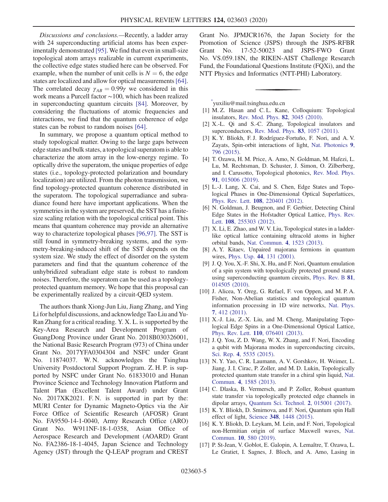Discussions and conclusions.—Recently, a ladder array with 24 superconducting artificial atoms has been experimentally demonstrated [\[95\]](#page-7-4). We find that even in small-size topological atom arrays realizable in current experiments, the collective edge states studied here can be observed. For example, when the number of unit cells is  $N = 6$ , the edge states are localized and allow for optical measurements[\[64\]](#page-6-3). The correlated decay  $\gamma_{AB} = 0.99\gamma$  we considered in this work means a Purcell factor ∼100, which has been realized in superconducting quantum circuits [\[84\].](#page-7-5) Moreover, by considering the fluctuations of atomic frequencies and interactions, we find that the quantum coherence of edge states can be robust to random noises [\[64\]](#page-6-3).

In summary, we propose a quantum optical method to study topological matter. Owing to the large gaps between edge states and bulk states, a topological superatom is able to characterize the atom array in the low-energy regime. To optically drive the superatom, the unique properties of edge states (i.e., topology-protected polarization and boundary localization) are utilized. From the photon transmission, we find topology-protected quantum coherence distributed in the superatom. The topological superradiance and subradiance found here have important applications. When the symmetries in the system are preserved, the SST has a finitesize scaling relation with the topological critical point. This means that quantum coherence may provide an alternative way to characterize topological phases [\[96,97\].](#page-7-6) The SST is still found in symmetry-breaking systems, and the symmetry-breaking-induced shift of the SST depends on the system size. We study the effect of disorder on the system parameters and find that the quantum coherence of the unhybridized subradiant edge state is robust to random noises. Therefore, the superatom can be used as a topologyprotected quantum memory. We hope that this proposal can be experimentally realized by a circuit-QED system.

The authors thank Xiong-Jun Liu, Jiang Zhang, and Ying Li for helpful discussions, and acknowledge Tao Liu and Yu-Ran Zhang for a critical reading. Y. X. L. is supported by the Key-Area Research and Development Program of GuangDong Province under Grant No. 2018B030326001, the National Basic Research Program (973) of China under Grant No. 2017YFA0304304 and NSFC under Grant No. 11874037. W.N. acknowledges the Tsinghua University Postdoctoral Support Program. Z. H. P. is supported by NSFC under Grant No. 61833010 and Hunan Province Science and Technology Innovation Platform and Talent Plan (Excellent Talent Award) under Grant No. 2017XK2021. F.N. is supported in part by the: MURI Center for Dynamic Magneto-Optics via the Air Force Office of Scientific Research (AFOSR) Grant No. FA9550-14-1-0040, Army Research Office (ARO) Grant No. W911NF-18-1-0358, Asian Office of Aerospace Research and Development (AOARD) Grant No. FA2386-18-1-4045, Japan Science and Technology Agency (JST) through the Q-LEAP program and CREST

Grant No. JPMJCR1676, the Japan Society for the Promotion of Science (JSPS) through the JSPS-RFBR Grant No. 17-52-50023 and JSPS-FWO Grant No. VS.059.18N, the RIKEN-AIST Challenge Research Fund, the Foundational Questions Institute (FQXi), and the NTT Physics and Informatics (NTT-PHI) Laboratory.

<span id="page-4-0"></span>[\\*](#page-0-0) yuxiliu@mail.tsinghua.edu.cn

- <span id="page-4-1"></span>[1] M. Z. Hasan and C. L. Kane, Colloquium: Topological insulators, [Rev. Mod. Phys.](https://doi.org/10.1103/RevModPhys.82.3045) 82, 3045 (2010).
- [2] X.-L. Qi and S.-C. Zhang, Topological insulators and superconductors, [Rev. Mod. Phys.](https://doi.org/10.1103/RevModPhys.83.1057) 83, 1057 (2011).
- [3] K. Y. Bliokh, F. J. Rodríguez-Fortuño, F. Nori, and A. V. Zayats, Spin-orbit interactions of light, [Nat. Photonics](https://doi.org/10.1038/nphoton.2015.201) 9, [796 \(2015\)](https://doi.org/10.1038/nphoton.2015.201).
- [4] T. Ozawa, H. M. Price, A. Amo, N. Goldman, M. Hafezi, L. Lu, M. Rechtsman, D. Schuster, J. Simon, O. Zilberberg, and I. Carusotto, Topological photonics, [Rev. Mod. Phys.](https://doi.org/10.1103/RevModPhys.91.015006) 91[, 015006 \(2019\).](https://doi.org/10.1103/RevModPhys.91.015006)
- <span id="page-4-2"></span>[5] L.-J. Lang, X. Cai, and S. Chen, Edge States and Topological Phases in One-Dimensional Optical Superlattices, Phys. Rev. Lett. 108[, 220401 \(2012\).](https://doi.org/10.1103/PhysRevLett.108.220401)
- [6] N. Goldman, J. Beugnon, and F. Gerbier, Detecting Chiral Edge States in the Hofstadter Optical Lattice, [Phys. Rev.](https://doi.org/10.1103/PhysRevLett.108.255303) Lett. 108[, 255303 \(2012\)](https://doi.org/10.1103/PhysRevLett.108.255303).
- [7] X. Li, E. Zhao, and W. V. Liu, Topological states in a ladderlike optical lattice containing ultracold atoms in higher orbital bands, [Nat. Commun.](https://doi.org/10.1038/ncomms2523) 4, 1523 (2013).
- <span id="page-4-3"></span>[8] A. Y. Kitaev, Unpaired majorana fermions in quantum wires, Phys. Usp. 44[, 131 \(2001\).](https://doi.org/10.1070/1063-7869/44/10S/S29)
- [9] J. Q. You, X.-F. Shi, X. Hu, and F. Nori, Quantum emulation of a spin system with topologically protected ground states using superconducting quantum circuits, [Phys. Rev. B](https://doi.org/10.1103/PhysRevB.81.014505) 81, [014505 \(2010\).](https://doi.org/10.1103/PhysRevB.81.014505)
- [10] J. Alicea, Y. Oreg, G. Refael, F. von Oppen, and M. P. A. Fisher, Non-Abelian statistics and topological quantum information processing in 1D wire networks, [Nat. Phys.](https://doi.org/10.1038/nphys1915) 7[, 412 \(2011\).](https://doi.org/10.1038/nphys1915)
- <span id="page-4-7"></span>[11] X.-J. Liu, Z.-X. Liu, and M. Cheng, Manipulating Topological Edge Spins in a One-Dimensional Optical Lattice, Phys. Rev. Lett. 110[, 076401 \(2013\).](https://doi.org/10.1103/PhysRevLett.110.076401)
- [12] J. Q. You, Z. D. Wang, W. X. Zhang, and F. Nori, Encoding a qubit with Majorana modes in superconducting circuits, Sci. Rep. 4[, 5535 \(2015\)](https://doi.org/10.1038/srep05535).
- <span id="page-4-4"></span>[13] N. Y. Yao, C. R. Laumann, A. V. Gorshkov, H. Weimer, L. Jiang, J. I. Cirac, P. Zoller, and M. D. Lukin, Topologically protected quantum state transfer in a chiral spin liquid, [Nat.](https://doi.org/10.1038/ncomms2531) Commun. 4[, 1585 \(2013\).](https://doi.org/10.1038/ncomms2531)
- [14] C. Dlaska, B. Vermersch, and P. Zoller, Robust quantum state transfer via topologically protected edge channels in dipolar arrays, [Quantum Sci. Technol.](https://doi.org/10.1088/2058-9565/2/1/015001) 2, 015001 (2017).
- <span id="page-4-5"></span>[15] K. Y. Bliokh, D. Smirnova, and F. Nori, Quantum spin Hall effect of light, Science 348[, 1448 \(2015\)](https://doi.org/10.1126/science.aaa9519).
- [16] K. Y. Bliokh, D. Leykam, M. Lein, and F. Nori, Topological non-Hermitian origin of surface Maxwell waves, [Nat.](https://doi.org/10.1038/s41467-019-08397-6) Commun. 10[, 580 \(2019\).](https://doi.org/10.1038/s41467-019-08397-6)
- <span id="page-4-6"></span>[17] P. St-Jean, V. Goblot, E. Galopin, A. Lemaître, T. Ozawa, L. Le Gratiet, I. Sagnes, J. Bloch, and A. Amo, Lasing in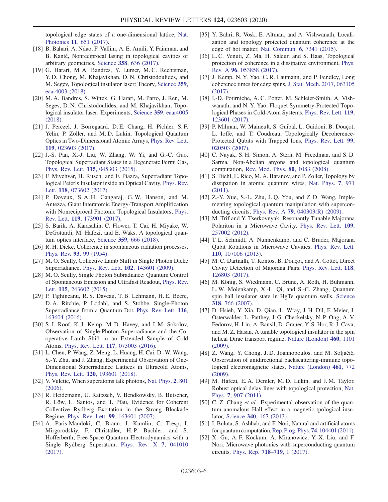topological edge states of a one-dimensional lattice, [Nat.](https://doi.org/10.1038/s41566-017-0006-2) Photonics 11[, 651 \(2017\)](https://doi.org/10.1038/s41566-017-0006-2).

- [18] B. Bahari, A. Ndao, F. Vallini, A. E. Amili, Y. Fainman, and B. Kanté, Nonreciprocal lasing in topological cavities of arbitrary geometries, Science 358[, 636 \(2017\)](https://doi.org/10.1126/science.aao4551).
- [19] G. Harari, M. A. Bandres, Y. Lumer, M. C. Rechtsman, Y. D. Chong, M. Khajavikhan, D. N. Christodoulides, and M. Segev, Topological insulator laser: Theory, [Science](https://doi.org/10.1126/science.aar4003) 359, [eaar4003 \(2018\).](https://doi.org/10.1126/science.aar4003)
- [20] M. A. Bandres, S. Wittek, G. Harari, M. Parto, J. Ren, M. Segev, D. N. Christodoulides, and M. Khajavikhan, Topological insulator laser: Experiments, Science 359[, eaar4005](https://doi.org/10.1126/science.aar4005) [\(2018\).](https://doi.org/10.1126/science.aar4005)
- <span id="page-5-0"></span>[21] J. Perczel, J. Borregaard, D. E. Chang, H. Pichler, S. F. Yelin, P. Zoller, and M. D. Lukin, Topological Quantum Optics in Two-Dimensional Atomic Arrays, [Phys. Rev. Lett.](https://doi.org/10.1103/PhysRevLett.119.023603) 119[, 023603 \(2017\).](https://doi.org/10.1103/PhysRevLett.119.023603)
- [22] J.-S. Pan, X.-J. Liu, W. Zhang, W. Yi, and G.-C. Guo, Topological Superradiant States in a Degenerate Fermi Gas, Phys. Rev. Lett. 115[, 045303 \(2015\).](https://doi.org/10.1103/PhysRevLett.115.045303)
- [23] F. Mivehvar, H. Ritsch, and F. Piazza, Superradiant Topological Peierls Insulator inside an Optical Cavity, [Phys. Rev.](https://doi.org/10.1103/PhysRevLett.118.073602) Lett. **118**[, 073602 \(2017\)](https://doi.org/10.1103/PhysRevLett.118.073602).
- [24] P. Doyeux, S.A.H. Gangaraj, G.W. Hanson, and M. Antezza, Giant Interatomic Energy-Transport Amplification with Nonreciprocal Photonic Topological Insulators, [Phys.](https://doi.org/10.1103/PhysRevLett.119.173901) Rev. Lett. 119[, 173901 \(2017\).](https://doi.org/10.1103/PhysRevLett.119.173901)
- [25] S. Barik, A. Karasahin, C. Flower, T. Cai, H. Miyake, W. DeGottardi, M. Hafezi, and E. Waks, A topological quantum optics interface, Science 359[, 666 \(2018\)](https://doi.org/10.1126/science.aaq0327).
- <span id="page-5-1"></span>[26] R. H. Dicke, Coherence in spontaneous radiation processes, Phys. Rev. 93[, 99 \(1954\)](https://doi.org/10.1103/PhysRev.93.99).
- <span id="page-5-2"></span>[27] M. O. Scully, Collective Lamb Shift in Single Photon Dicke Superradiance, Phys. Rev. Lett. 102[, 143601 \(2009\)](https://doi.org/10.1103/PhysRevLett.102.143601).
- [28] M. O. Scully, Single Photon Subradiance: Quantum Control of Spontaneous Emission and Ultrafast Readout, [Phys. Rev.](https://doi.org/10.1103/PhysRevLett.115.243602) Lett. 115[, 243602 \(2015\)](https://doi.org/10.1103/PhysRevLett.115.243602).
- [29] P. Tighineanu, R. S. Daveau, T. B. Lehmann, H. E. Beere, D. A. Ritchie, P. Lodahl, and S. Stobbe, Single-Photon Superradiance from a Quantum Dot, [Phys. Rev. Lett.](https://doi.org/10.1103/PhysRevLett.116.163604) 116, [163604 \(2016\).](https://doi.org/10.1103/PhysRevLett.116.163604)
- [30] S. J. Roof, K. J. Kemp, M. D. Havey, and I. M. Sokolov, Observation of Single-Photon Superradiance and the Cooperative Lamb Shift in an Extended Sample of Cold Atoms, Phys. Rev. Lett. 117[, 073003 \(2016\).](https://doi.org/10.1103/PhysRevLett.117.073003)
- [31] L. Chen, P. Wang, Z. Meng, L. Huang, H. Cai, D.-W. Wang, S.-Y. Zhu, and J. Zhang, Experimental Observation of One-Dimensional Superradiance Lattices in Ultracold Atoms, Phys. Rev. Lett. 120[, 193601 \(2018\).](https://doi.org/10.1103/PhysRevLett.120.193601)
- <span id="page-5-4"></span><span id="page-5-3"></span>[32] V. Vuletic, When superatoms talk photons, [Nat. Phys.](https://doi.org/10.1038/nphys469) 2, 801 [\(2006\).](https://doi.org/10.1038/nphys469)
- [33] R. Heidemann, U. Raitzsch, V. Bendkowsky, B. Butscher, R. Löw, L. Santos, and T. Pfau, Evidence for Coherent Collective Rydberg Excitation in the Strong Blockade Regime, Phys. Rev. Lett. 99[, 163601 \(2007\).](https://doi.org/10.1103/PhysRevLett.99.163601)
- [34] A. Paris-Mandoki, C. Braun, J. Kumlin, C. Tresp, I. Mirgorodskiy, F. Christaller, H. P. Büchler, and S. Hofferberth, Free-Space Quantum Electrodynamics with a Single Rydberg Superatom, [Phys. Rev. X](https://doi.org/10.1103/PhysRevX.7.041010) 7, 041010 [\(2017\).](https://doi.org/10.1103/PhysRevX.7.041010)
- <span id="page-5-5"></span>[35] Y. Bahri, R. Vosk, E. Altman, and A. Vishwanath, Localization and topology protected quantum coherence at the edge of hot matter, [Nat. Commun.](https://doi.org/10.1038/ncomms8341) 6, 7341 (2015).
- [36] L. C. Venuti, Z. Ma, H. Saleur, and S. Haas, Topological protection of coherence in a dissipative environment, [Phys.](https://doi.org/10.1103/PhysRevA.96.053858) Rev. A 96[, 053858 \(2017\)](https://doi.org/10.1103/PhysRevA.96.053858).
- [37] J. Kemp, N. Y. Yao, C. R. Laumann, and P. Fendley, Long coherence times for edge spins, [J. Stat. Mech. 2017, 063105](https://doi.org/10.1088/1742-5468/aa73f0) [\(2017\).](https://doi.org/10.1088/1742-5468/aa73f0)
- [38] I.-D. Potirniche, A. C. Potter, M. Schleier-Smith, A. Vishwanath, and N. Y. Yao, Floquet Symmetry-Protected Topological Phases in Cold-Atom Systems, [Phys. Rev. Lett.](https://doi.org/10.1103/PhysRevLett.119.123601) 119, [123601 \(2017\).](https://doi.org/10.1103/PhysRevLett.119.123601)
- <span id="page-5-6"></span>[39] P. Milman, W. Maineult, S. Guibal, L. Guidoni, B. Douçot, L. Ioffe, and T. Coudreau, Topologically Decoherence-Protected Qubits with Trapped Ions, [Phys. Rev. Lett.](https://doi.org/10.1103/PhysRevLett.99.020503) 99, [020503 \(2007\).](https://doi.org/10.1103/PhysRevLett.99.020503)
- [40] C. Nayak, S. H. Simon, A. Stern, M. Freedman, and S. D. Sarma, Non-Abelian anyons and topological quantum computation, [Rev. Mod. Phys.](https://doi.org/10.1103/RevModPhys.80.1083) 80, 1083 (2008).
- <span id="page-5-7"></span>[41] S. Diehl, E. Rico, M. A. Baranov, and P. Zoller, Topology by dissipation in atomic quantum wires, [Nat. Phys.](https://doi.org/10.1038/nphys2106) 7, 971 [\(2011\).](https://doi.org/10.1038/nphys2106)
- <span id="page-5-8"></span>[42] Z.-Y. Xue, S.-L. Zhu, J. O. You, and Z. D. Wang, Implementing topological quantum manipulation with superconducting circuits, Phys. Rev. A 79[, 040303\(R\) \(2009\).](https://doi.org/10.1103/PhysRevA.79.040303)
- [43] M. Trif and Y. Tserkovnyak, Resonantly Tunable Majorana Polariton in a Microwave Cavity, [Phys. Rev. Lett.](https://doi.org/10.1103/PhysRevLett.109.257002) 109, [257002 \(2012\).](https://doi.org/10.1103/PhysRevLett.109.257002)
- [44] T.L. Schmidt, A. Nunnenkamp, and C. Bruder, Majorana Qubit Rotations in Microwave Cavities, [Phys. Rev. Lett.](https://doi.org/10.1103/PhysRevLett.110.107006) 110[, 107006 \(2013\).](https://doi.org/10.1103/PhysRevLett.110.107006)
- [45] M. C. Dartiailh, T. Kontos, B. Douçot, and A. Cottet, Direct Cavity Detection of Majorana Pairs, [Phys. Rev. Lett.](https://doi.org/10.1103/PhysRevLett.118.126803) 118, [126803 \(2017\).](https://doi.org/10.1103/PhysRevLett.118.126803)
- <span id="page-5-9"></span>[46] M. König, S. Wiedmann, C. Brüne, A. Roth, H. Buhmann, L. W. Molenkamp, X.-L. Qi, and S.-C. Zhang, Quantum spin hall insulator state in HgTe quantum wells, [Science](https://doi.org/10.1126/science.1148047) 318[, 766 \(2007\)](https://doi.org/10.1126/science.1148047).
- [47] D. Hsieh, Y. Xia, D. Qian, L. Wray, J. H. Dil, F. Meier, J. Osterwalder, L. Patthey, J. G. Checkelsky, N. P. Ong, A. V. Fedorov, H. Lin, A. Bansil, D. Grauer, Y. S. Hor, R. J. Cava, and M. Z. Hasan, A tunable topological insulator in the spin helical Dirac transport regime, [Nature \(London\)](https://doi.org/10.1038/nature08234) 460, 1101 [\(2009\).](https://doi.org/10.1038/nature08234)
- [48] Z. Wang, Y. Chong, J. D. Joannopoulos, and M. Soljačić, Observation of unidirectional backscattering-immune topological electromagnetic states, [Nature \(London\)](https://doi.org/10.1038/nature08293) 461, 772 [\(2009\).](https://doi.org/10.1038/nature08293)
- [49] M. Hafezi, E. A. Demler, M. D. Lukin, and J. M. Taylor, Robust optical delay lines with topological protection, [Nat.](https://doi.org/10.1038/nphys2063) Phys. 7[, 907 \(2011\)](https://doi.org/10.1038/nphys2063).
- [50] C.-Z. Chang *et al.*, Experimental observation of the quantum anomalous Hall effect in a magnetic tpological insulator, Science 340[, 167 \(2013\).](https://doi.org/10.1126/science.1234414)
- <span id="page-5-10"></span>[51] I. Buluta, S. Ashhab, and F. Nori, Natural and artificial atoms for quantum computation,[Rep. Prog. Phys.](https://doi.org/10.1088/0034-4885/74/10/104401) 74, 104401 (2011).
- [52] X. Gu, A. F. Kockum, A. Miranowicz, Y.-X. Liu, and F. Nori, Microwave photonics with superconducting quantum circuits, [Phys. Rep.](https://doi.org/10.1016/j.physrep.2017.10.002) 718–719, 1 (2017).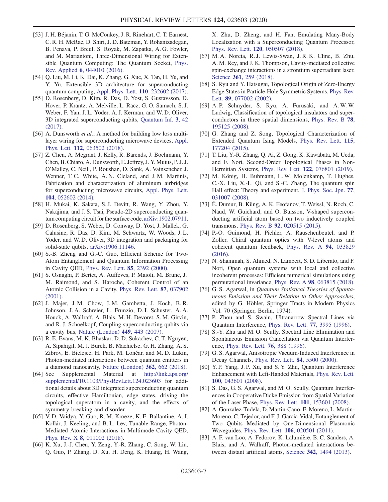- <span id="page-6-0"></span>[53] J. H. Béjanin, T. G. McConkey, J. R. Rinehart, C. T. Earnest, C. R. H. McRae, D. Shiri, J. D. Bateman, Y. Rohanizadegan, B. Penava, P. Breul, S. Royak, M. Zapatka, A. G. Fowler, and M. Mariantoni, Three-Dimensional Wiring for Extensible Quantum Computing: The Quantum Socket, [Phys.](https://doi.org/10.1103/PhysRevApplied.6.044010) Rev. Applied 6[, 044010 \(2016\)](https://doi.org/10.1103/PhysRevApplied.6.044010).
- [54] Q. Liu, M. Li, K. Dai, K. Zhang, G. Xue, X. Tan, H. Yu, and Y. Yu, Extensible 3D architecture for superconducting quantum computing, [Appl. Phys. Lett.](https://doi.org/10.1063/1.4985435) 110, 232602 (2017).
- [55] D. Rosenberg, D. Kim, R. Das, D. Yost, S. Gustavsson, D. Hover, P. Krantz, A. Melville, L. Racz, G. O. Samach, S. J. Weber, F. Yan, J. L. Yoder, A. J. Kerman, and W. D. Oliver, 3D integrated superconducting qubits, [Quantum Inf.](https://doi.org/10.1038/s41534-017-0044-0) 3, 42 [\(2017\).](https://doi.org/10.1038/s41534-017-0044-0)
- [56] A. Dunsworth et al., A method for building low loss multilayer wiring for superconducting microwave devices, [Appl.](https://doi.org/10.1063/1.5014033) Phys. Lett. 112[, 063502 \(2018\).](https://doi.org/10.1063/1.5014033)
- <span id="page-6-1"></span>[57] Z. Chen, A. Megrant, J. Kelly, R. Barends, J. Bochmann, Y. Chen, B. Chiaro, A. Dunsworth, E. Jeffrey, J. Y. Mutus, P. J. J. O'Malley, C. Neill, P. Roushan, D. Sank, A. Vainsencher, J. Wenner, T. C. White, A. N. Cleland, and J. M. Martinis, Fabrication and characterization of aluminum airbridges for superconducting microwave circuits, [Appl. Phys. Lett.](https://doi.org/10.1063/1.4863745) 104[, 052602 \(2014\)](https://doi.org/10.1063/1.4863745).
- [58] H. Mukai, K. Sakata, S. J. Devitt, R. Wang, Y. Zhou, Y. Nakajima, and J. S. Tsai, Pseudo-2D superconducting quantum computing circuit for the surface code, [arXiv:1902.07911.](https://arXiv.org/abs/1902.07911)
- [59] D. Rosenberg, S. Weber, D. Conway, D. Yost, J. Mallek, G. Calusine, R. Das, D. Kim, M. Schwartz, W. Woods, J. L. Yoder, and W. D. Oliver, 3D integration and packaging for solid-state qubits, [arXiv:1906.11146](https://arXiv.org/abs/1906.11146).
- <span id="page-6-2"></span>[60] S.-B. Zheng and G.-C. Guo, Efficient Scheme for Two-Atom Entanglement and Quantum Information Processing in Cavity QED, [Phys. Rev. Lett.](https://doi.org/10.1103/PhysRevLett.85.2392) 85, 2392 (2000).
- [61] S. Osnaghi, P. Bertet, A. Auffeves, P. Maioli, M. Brune, J. M. Raimond, and S. Haroche, Coherent Control of an Atomic Collision in a Cavity, [Phys. Rev. Lett.](https://doi.org/10.1103/PhysRevLett.87.037902) 87, 037902 [\(2001\).](https://doi.org/10.1103/PhysRevLett.87.037902)
- [62] J. Majer, J. M. Chow, J. M. Gambetta, J. Koch, B. R. Johnson, J. A. Schreier, L. Frunzio, D. I. Schuster, A. A. Houck, A. Wallraff, A. Blais, M. H. Devoret, S. M. Girvin, and R. J. Schoelkopf, Coupling superconducting qubits via a cavity bus, [Nature \(London\)](https://doi.org/10.1038/nature06184) 449, 443 (2007).
- [63] R. E. Evans, M. K. Bhaskar, D. D. Sukachev, C. T. Nguyen, A. Sipahigil, M. J. Burek, B. Machielse, G. H. Zhang, A. S. Zibrov, E. Bielejec, H. Park, M. Lončar, and M. D. Lukin, Photon-mediated interactions between quantum emitters in a diamond nanocavity, [Nature \(London\)](https://doi.org/10.1126/science.aau4691) 362, 662 (2018).
- <span id="page-6-3"></span>[64] See Supplemental Material at [http://link.aps.org/](http://link.aps.org/supplemental/10.1103/PhysRevLett.124.023603) [supplemental/10.1103/PhysRevLett.124.023603](http://link.aps.org/supplemental/10.1103/PhysRevLett.124.023603) for additional details about 3D integrated superconducting quantum circuits, effective Hamiltonian, edge states, driving the topological superatom in a cavity, and the effects of symmetry breaking and disorder.
- <span id="page-6-4"></span>[65] V. D. Vaidya, Y. Guo, R. M. Kroeze, K. E. Ballantine, A. J. Kollár, J. Keeling, and B. L. Lev, Tunable-Range, Photon-Mediated Atomic Interactions in Multimode Cavity QED, Phys. Rev. X 8[, 011002 \(2018\).](https://doi.org/10.1103/PhysRevX.8.011002)
- [66] K. Xu, J.-J. Chen, Y. Zeng, Y.-R. Zhang, C. Song, W. Liu, Q. Guo, P. Zhang, D. Xu, H. Deng, K. Huang, H. Wang,

X. Zhu, D. Zheng, and H. Fan, Emulating Many-Body Localization with a Superconducting Quantum Processor, Phys. Rev. Lett. 120[, 050507 \(2018\).](https://doi.org/10.1103/PhysRevLett.120.050507)

- [67] M. A. Norcia, R. J. Lewis-Swan, J. R. K. Cline, B. Zhu, A. M. Rey, and J. K. Thompson, Cavity-mediated collective spin-exchange interactions in a strontium superradiant laser, Science 361[, 259 \(2018\)](https://doi.org/10.1126/science.aar3102).
- <span id="page-6-5"></span>[68] S. Ryu and Y. Hatsugai, Topological Origin of Zero-Energy Edge States in Particle-Hole Symmetric Systems, [Phys. Rev.](https://doi.org/10.1103/PhysRevLett.89.077002) Lett. 89[, 077002 \(2002\).](https://doi.org/10.1103/PhysRevLett.89.077002)
- <span id="page-6-6"></span>[69] A. P. Schnyder, S. Ryu, A. Furusaki, and A. W. W. Ludwig, Classification of topological insulators and superconductors in three spatial dimensions, [Phys. Rev. B](https://doi.org/10.1103/PhysRevB.78.195125) 78, [195125 \(2008\).](https://doi.org/10.1103/PhysRevB.78.195125)
- <span id="page-6-7"></span>[70] G. Zhang and Z. Song, Topological Characterization of Extended Quantum Ising Models, [Phys. Rev. Lett.](https://doi.org/10.1103/PhysRevLett.115.177204) 115, [177204 \(2015\).](https://doi.org/10.1103/PhysRevLett.115.177204)
- [71] T. Liu, Y.-R. Zhang, Q. Ai, Z. Gong, K. Kawabata, M. Ueda, and F. Nori, Second-Order Topological Phases in Non-Hermitian Systems, Phys. Rev. Lett. 122[, 076801 \(2019\)](https://doi.org/10.1103/PhysRevLett.122.076801).
- [72] M. König, H. Buhmann, L. W. Molenkamp, T. Hughes, C.-X. Liu, X.-L. Qi, and S.-C. Zhang, The quantum spin Hall effect: Theory and experiment, [J. Phys. Soc. Jpn.](https://doi.org/10.1143/JPSJ.77.031007) 77, [031007 \(2008\).](https://doi.org/10.1143/JPSJ.77.031007)
- <span id="page-6-8"></span>[73] É. Dumur, B. Küng, A. K. Feofanov, T. Weissl, N. Roch, C. Naud, W. Guichard, and O. Buisson, V-shaped superconducting artificial atom based on two inductively coupled transmons, Phys. Rev. B 92[, 020515 \(2015\)](https://doi.org/10.1103/PhysRevB.92.020515).
- [74] P.-O. Guimond, H. Pichler, A. Rauschenbeutel, and P. Zoller, Chiral quantum optics with V-level atoms and coherent quantum feedback, [Phys. Rev. A](https://doi.org/10.1103/PhysRevA.94.033829) 94, 033829 [\(2016\).](https://doi.org/10.1103/PhysRevA.94.033829)
- <span id="page-6-9"></span>[75] N. Shammah, S. Ahmed, N. Lambert, S. D. Liberato, and F. Nori, Open quantum systems with local and collective incoherent processes: Efficient numerical simulations using permutational invariance, Phys. Rev. A 98[, 063815 \(2018\).](https://doi.org/10.1103/PhysRevA.98.063815)
- <span id="page-6-10"></span>[76] G. S. Agarwal, in Quantum Statistical Theories of Spontaneous Emission and Their Relation to Other Approaches, edited by G. Höhler, Springer Tracts in Modern Physics Vol. 70 (Springer, Berlin, 1974).
- [77] P. Zhou and S. Swain, Ultranarrow Spectral Lines via Quantum Interference, [Phys. Rev. Lett.](https://doi.org/10.1103/PhysRevLett.77.3995) 77, 3995 (1996).
- [78] S.-Y. Zhu and M. O. Scully, Spectral Line Elimination and Spontaneous Emission Cancellation via Quantum Interference, [Phys. Rev. Lett.](https://doi.org/10.1103/PhysRevLett.76.388) 76, 388 (1996).
- [79] G. S. Agarwal, Anisotropic Vacuum-Induced Interference in Decay Channels, [Phys. Rev. Lett.](https://doi.org/10.1103/PhysRevLett.84.5500) 84, 5500 (2000).
- [80] Y. P. Yang, J. P. Xu, and S. Y. Zhu, Quantum Interference Enhancement with Left-Handed Materials, [Phys. Rev. Lett.](https://doi.org/10.1103/PhysRevLett.100.043601) 100[, 043601 \(2008\).](https://doi.org/10.1103/PhysRevLett.100.043601)
- [81] S. Das, G. S. Agarwal, and M. O. Scully, Quantum Interferences in Cooperative Dicke Emission from Spatial Variation of the Laser Phase, Phys. Rev. Lett. 101[, 153601 \(2008\)](https://doi.org/10.1103/PhysRevLett.101.153601).
- <span id="page-6-11"></span>[82] A. Gonzalez-Tudela, D. Martin-Cano, E. Moreno, L. Martin-Moreno, C. Tejedor, and F. J. Garcia-Vidal, Entanglement of Two Qubits Mediated by One-Dimensional Plasmonic Waveguides, Phys. Rev. Lett. 106[, 020501 \(2011\)](https://doi.org/10.1103/PhysRevLett.106.020501).
- [83] A. F. van Loo, A. Fedorov, K. Lalumière, B. C. Sanders, A. Blais, and A. Wallraff, Photon-mediated interactions between distant artificial atoms, Science 342[, 1494 \(2013\).](https://doi.org/10.1126/science.1244324)